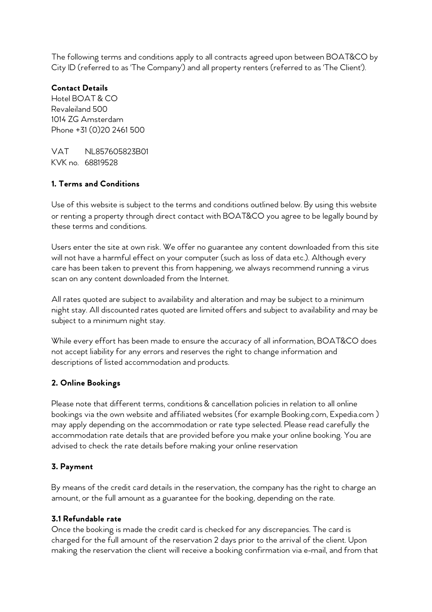The following terms and conditions apply to all contracts agreed upon between BOAT&CO by City ID (referred to as 'The Company') and all property renters (referred to as 'The Client').

## **Contact Details**

Hotel BOAT & CO Revaleiland 500 1014 ZG Amsterdam Phone +31 (0)20 2461 500

VAT NL857605823B01 KVK no. 68819528

# **1. Terms and Conditions**

Use of this website is subject to the terms and conditions outlined below. By using this website or renting a property through direct contact with BOAT&CO you agree to be legally bound by these terms and conditions.

Users enter the site at own risk. We offer no guarantee any content downloaded from this site will not have a harmful effect on your computer (such as loss of data etc.). Although every care has been taken to prevent this from happening, we always recommend running a virus scan on any content downloaded from the Internet.

All rates quoted are subject to availability and alteration and may be subject to a minimum night stay. All discounted rates quoted are limited offers and subject to availability and may be subject to a minimum night stay.

While every effort has been made to ensure the accuracy of all information, BOAT&CO does not accept liability for any errors and reserves the right to change information and descriptions of listed accommodation and products.

# **2. Online Bookings**

Please note that different terms, conditions & cancellation policies in relation to all online bookings via the own website and affiliated websites (for example Booking.com, Expedia.com ) may apply depending on the accommodation or rate type selected. Please read carefully the accommodation rate details that are provided before you make your online booking. You are advised to check the rate details before making your online reservation

# **3. Payment**

By means of the credit card details in the reservation, the company has the right to charge an amount, or the full amount as a guarantee for the booking, depending on the rate.

### **3.1 Refundable rate**

Once the booking is made the credit card is checked for any discrepancies. The card is charged for the full amount of the reservation 2 days prior to the arrival of the client. Upon making the reservation the client will receive a booking confirmation via e-mail, and from that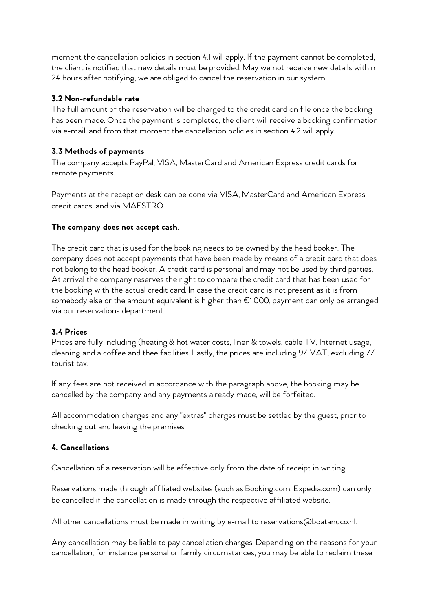moment the cancellation policies in section 4.1 will apply. If the payment cannot be completed, the client is notified that new details must be provided. May we not receive new details within 24 hours after notifying, we are obliged to cancel the reservation in our system.

### **3.2 Non-refundable rate**

The full amount of the reservation will be charged to the credit card on file once the booking has been made. Once the payment is completed, the client will receive a booking confirmation via e-mail, and from that moment the cancellation policies in section 4.2 will apply.

# **3.3 Methods of payments**

The company accepts PayPal, VISA, MasterCard and American Express credit cards for remote payments.

Payments at the reception desk can be done via VISA, MasterCard and American Express credit cards, and via MAESTRO.

## **The company does not accept cash**.

The credit card that is used for the booking needs to be owned by the head booker. The company does not accept payments that have been made by means of a credit card that does not belong to the head booker. A credit card is personal and may not be used by third parties. At arrival the company reserves the right to compare the credit card that has been used for the booking with the actual credit card. In case the credit card is not present as it is from somebody else or the amount equivalent is higher than €1.000, payment can only be arranged via our reservations department.

### **3.4 Prices**

Prices are fully including (heating & hot water costs, linen & towels, cable TV, Internet usage, cleaning and a coffee and thee facilities. Lastly, the prices are including 9% VAT, excluding 7% tourist tax.

If any fees are not received in accordance with the paragraph above, the booking may be cancelled by the company and any payments already made, will be forfeited.

All accommodation charges and any "extras" charges must be settled by the guest, prior to checking out and leaving the premises.

# **4. Cancellations**

Cancellation of a reservation will be effective only from the date of receipt in writing.

Reservations made through affiliated websites (such as Booking.com, Expedia.com) can only be cancelled if the cancellation is made through the respective affiliated website.

All other cancellations must be made in writing by e-mail to reservations@boatandco.nl.

Any cancellation may be liable to pay cancellation charges. Depending on the reasons for your cancellation, for instance personal or family circumstances, you may be able to reclaim these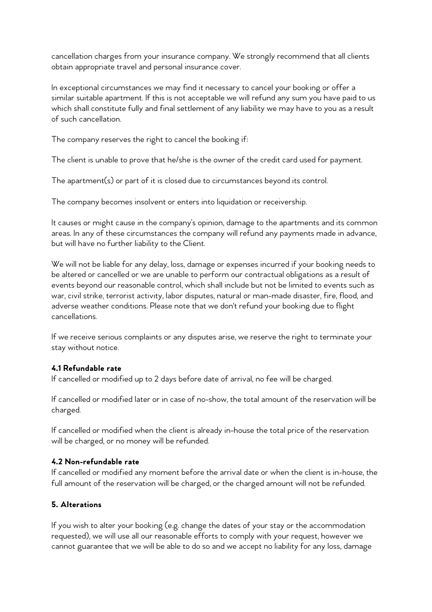cancellation charges from your insurance company. We strongly recommend that all clients obtain appropriate travel and personal insurance cover.

In exceptional circumstances we may find it necessary to cancel your booking or offer a similar suitable apartment. If this is not acceptable we will refund any sum you have paid to us which shall constitute fully and final settlement of any liability we may have to you as a result of such cancellation.

The company reserves the right to cancel the booking if:

The client is unable to prove that he/she is the owner of the credit card used for payment.

The apartment(s) or part of it is closed due to circumstances beyond its control.

The company becomes insolvent or enters into liquidation or receivership.

It causes or might cause in the company's opinion, damage to the apartments and its common areas. In any of these circumstances the company will refund any payments made in advance, but will have no further liability to the Client.

We will not be liable for any delay, loss, damage or expenses incurred if your booking needs to be altered or cancelled or we are unable to perform our contractual obligations as a result of events beyond our reasonable control, which shall include but not be limited to events such as war, civil strike, terrorist activity, labor disputes, natural or man-made disaster, fire, flood, and adverse weather conditions. Please note that we don't refund your booking due to flight cancellations.

If we receive serious complaints or any disputes arise, we reserve the right to terminate your stay without notice.

### **4.1 Refundable rate**

If cancelled or modified up to 2 days before date of arrival, no fee will be charged.

If cancelled or modified later or in case of no-show, the total amount of the reservation will be charged.

If cancelled or modified when the client is already in-house the total price of the reservation will be charged, or no money will be refunded.

### **4.2 Non-refundable rate**

If cancelled or modified any moment before the arrival date or when the client is in-house, the full amount of the reservation will be charged, or the charged amount will not be refunded.

### **5. Alterations**

If you wish to alter your booking (e.g. change the dates of your stay or the accommodation requested), we will use all our reasonable efforts to comply with your request, however we cannot guarantee that we will be able to do so and we accept no liability for any loss, damage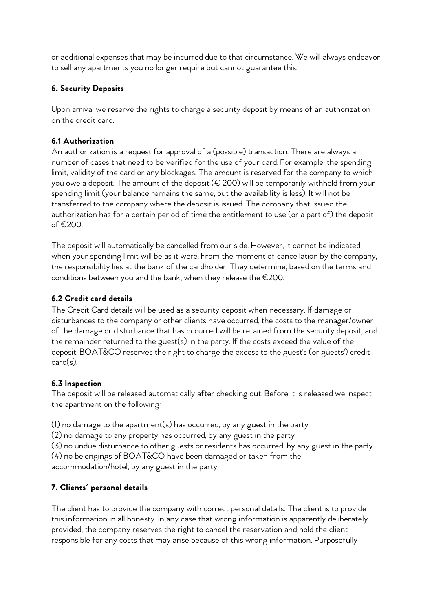or additional expenses that may be incurred due to that circumstance. We will always endeavor to sell any apartments you no longer require but cannot guarantee this.

# **6. Security Deposits**

Upon arrival we reserve the rights to charge a security deposit by means of an authorization on the credit card.

# **6.1 Authorization**

An authorization is a request for approval of a (possible) transaction. There are always a number of cases that need to be verified for the use of your card. For example, the spending limit, validity of the card or any blockages. The amount is reserved for the company to which you owe a deposit. The amount of the deposit (€ 200) will be temporarily withheld from your spending limit (your balance remains the same, but the availability is less). It will not be transferred to the company where the deposit is issued. The company that issued the authorization has for a certain period of time the entitlement to use (or a part of) the deposit of €200.

The deposit will automatically be cancelled from our side. However, it cannot be indicated when your spending limit will be as it were. From the moment of cancellation by the company, the responsibility lies at the bank of the cardholder. They determine, based on the terms and conditions between you and the bank, when they release the €200.

# **6.2 Credit card details**

The Credit Card details will be used as a security deposit when necessary. If damage or disturbances to the company or other clients have occurred, the costs to the manager/owner of the damage or disturbance that has occurred will be retained from the security deposit, and the remainder returned to the guest(s) in the party. If the costs exceed the value of the deposit, BOAT&CO reserves the right to charge the excess to the guest's (or guests') credit card(s).

# **6.3 Inspection**

The deposit will be released automatically after checking out. Before it is released we inspect the apartment on the following:

(1) no damage to the apartment(s) has occurred, by any guest in the party

(2) no damage to any property has occurred, by any guest in the party

(3) no undue disturbance to other guests or residents has occurred, by any guest in the party.

(4) no belongings of BOAT&CO have been damaged or taken from the

accommodation/hotel, by any guest in the party.

# **7. Clients´ personal details**

The client has to provide the company with correct personal details. The client is to provide this information in all honesty. In any case that wrong information is apparently deliberately provided, the company reserves the right to cancel the reservation and hold the client responsible for any costs that may arise because of this wrong information. Purposefully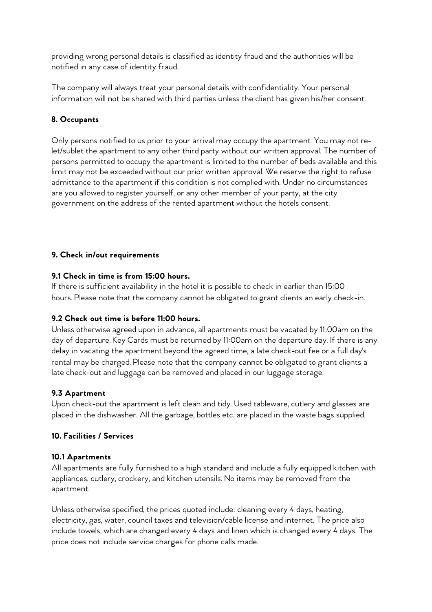providing wrong personal details is classified as identity fraud and the authorities will be notified in any case of identity fraud.

The company will always treat your personal details with confidentiality. Your personal information will not be shared with third parties unless the client has given his/her consent.

## **8. Occupants**

Only persons notified to us prior to your arrival may occupy the apartment. You may not relet/sublet the apartment to any other third party without our written approval. The number of persons permitted to occupy the apartment is limited to the number of beds available and this limit may not be exceeded without our prior written approval. We reserve the right to refuse admittance to the apartment if this condition is not complied with. Under no circumstances are you allowed to register yourself, or any other member of your party, at the city government on the address of the rented apartment without the hotels consent.

### **9. Check in/out requirements**

### **9.1 Check in time is from 15:00 hours.**

If there is sufficient availability in the hotel it is possible to check in earlier than 15:00 hours. Please note that the company cannot be obligated to grant clients an early check-in.

### **9.2 Check out time is before 11:00 hours.**

Unless otherwise agreed upon in advance, all apartments must be vacated by 11:00am on the day of departure. Key Cards must be returned by 11:00am on the departure day. If there is any delay in vacating the apartment beyond the agreed time, a late check-out fee or a full day's rental may be charged. Please note that the company cannot be obligated to grant clients a late check-out and luggage can be removed and placed in our luggage storage.

#### **9.3 Apartment**

Upon check-out the apartment is left clean and tidy. Used tableware, cutlery and glasses are placed in the dishwasher. All the garbage, bottles etc. are placed in the waste bags supplied.

#### **10. Facilities / Services**

#### **10.1 Apartments**

All apartments are fully furnished to a high standard and include a fully equipped kitchen with appliances, cutlery, crockery, and kitchen utensils. No items may be removed from the apartment.

Unless otherwise specified, the prices quoted include: cleaning every 4 days, heating, electricity, gas, water, council taxes and television/cable license and internet. The price also include towels, which are changed every 4 days and linen which is changed every 4 days. The price does not include service charges for phone calls made.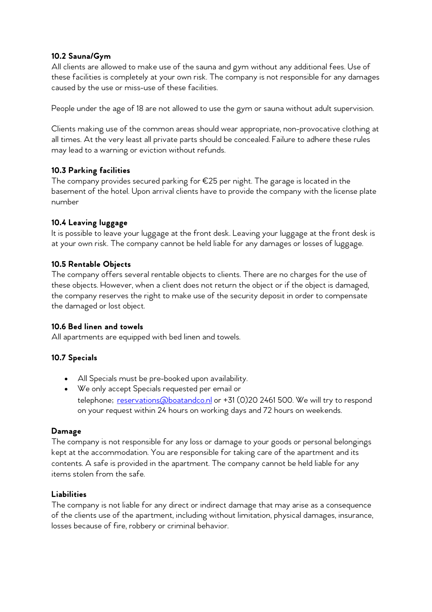### **10.2 Sauna/Gym**

All clients are allowed to make use of the sauna and gym without any additional fees. Use of these facilities is completely at your own risk. The company is not responsible for any damages caused by the use or miss-use of these facilities.

People under the age of 18 are not allowed to use the gym or sauna without adult supervision.

Clients making use of the common areas should wear appropriate, non-provocative clothing at all times. At the very least all private parts should be concealed. Failure to adhere these rules may lead to a warning or eviction without refunds.

## **10.3 Parking facilities**

The company provides secured parking for €25 per night. The garage is located in the basement of the hotel. Upon arrival clients have to provide the company with the license plate number

## **10.4 Leaving luggage**

It is possible to leave your luggage at the front desk. Leaving your luggage at the front desk is at your own risk. The company cannot be held liable for any damages or losses of luggage.

### **10.5 Rentable Objects**

The company offers several rentable objects to clients. There are no charges for the use of these objects. However, when a client does not return the object or if the object is damaged, the company reserves the right to make use of the security deposit in order to compensate the damaged or lost object.

### **10.6 Bed linen and towels**

All apartments are equipped with bed linen and towels.

# **10.7 Specials**

- All Specials must be pre-booked upon availability.
- We only accept Specials requested per email or telephone; reservations@boatandco.nl or +31 (0)20 2461 500. We will try to respond on your request within 24 hours on working days and 72 hours on weekends.

### **Damage**

The company is not responsible for any loss or damage to your goods or personal belongings kept at the accommodation. You are responsible for taking care of the apartment and its contents. A safe is provided in the apartment. The company cannot be held liable for any items stolen from the safe.

### **Liabilities**

The company is not liable for any direct or indirect damage that may arise as a consequence of the clients use of the apartment, including without limitation, physical damages, insurance, losses because of fire, robbery or criminal behavior.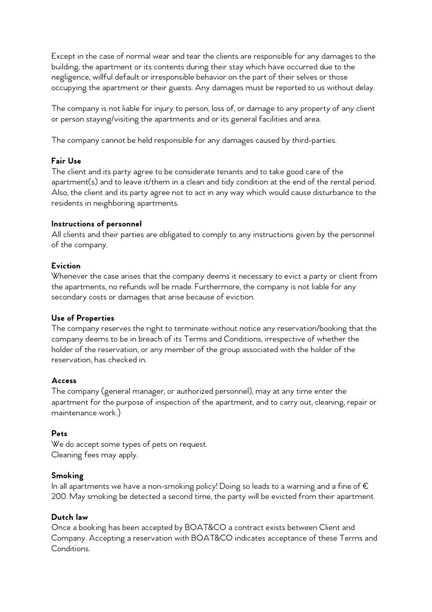Except in the case of normal wear and tear the clients are responsible for any damages to the building, the apartment or its contents during their stay which have occurred due to the negligence, willful default or irresponsible behavior on the part of their selves or those occupying the apartment or their guests. Any damages must be reported to us without delay.

The company is not liable for injury to person, loss of, or damage to any property of any client or person staying/visiting the apartments and or its general facilities and area.

The company cannot be held responsible for any damages caused by third-parties.

### **Fair Use**

The client and its party agree to be considerate tenants and to take good care of the apartment(s) and to leave it/them in a clean and tidy condition at the end of the rental period. Also, the client and its party agree not to act in any way which would cause disturbance to the residents in neighboring apartments.

#### **Instructions of personnel**

All clients and their parties are obligated to comply to any instructions given by the personnel of the company.

### **Eviction**

Whenever the case arises that the company deems it necessary to evict a party or client from the apartments, no refunds will be made. Furthermore, the company is not liable for any secondary costs or damages that arise because of eviction.

#### **Use of Properties**

The company reserves the right to terminate without notice any reservation/booking that the company deems to be in breach of its Terms and Conditions, irrespective of whether the holder of the reservation, or any member of the group associated with the holder of the reservation, has checked in.

### **Access**

The company (general manager, or authorized personnel), may at any time enter the apartment for the purpose of inspection of the apartment, and to carry out, cleaning, repair or maintenance work.}

### **Pets**

We do accept some types of pets on request. Cleaning fees may apply.

#### **Smoking**

In all apartments we have a non-smoking policy! Doing so leads to a warning and a fine of  $\epsilon$ 200. May smoking be detected a second time, the party will be evicted from their apartment.

### **Dutch law**

Once a booking has been accepted by BOAT&CO a contract exists between Client and Company. Accepting a reservation with BOAT&CO indicates acceptance of these Terms and Conditions.